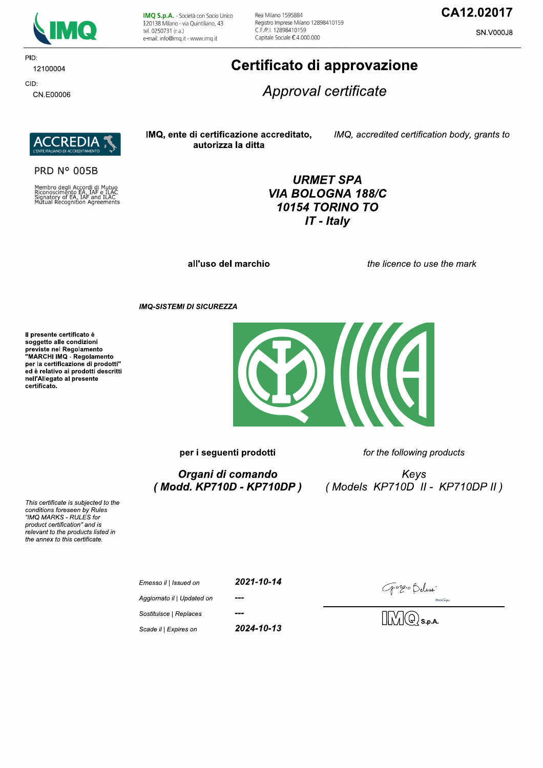

IMQ S.p.A. - Società con Socio Unico I 20138 Milano - via Quintiliano, 43 tel. 0250731 (r.a.) e-mail: info@imq.it - www.imq.it

Rea Milano 1595884 Registro Imprese Milano 12898410159 C.F./P.I. 12898410159 Capitale Sociale €4.000.000

### CA12.02017

SN.V000J8

PID: 12100004 CID:

CN.E00006

# Certificato di approvazione

Approval certificate



**PRD N° 005B** 

Membro degli Accordi di Mutuo<br>Riconoscimento EA, IAF e ILAC<br>Signatory of EA, IAF and ILAC<br>Mutual Recognition Agreements

IMQ, ente di certificazione accreditato, autorizza la ditta

IMQ, accredited certification body, grants to

**URMET SPA** VIA BOLOGNA 188/C **10154 TORINO TO**  $IT$  - Italy

all'uso del marchio

the licence to use the mark

**IMQ-SISTEMI DI SICUREZZA** 

Il presente certificato è soggetto alle condizioni soggetto alle contrazioni<br>previste nel Regolamento<br>"MARCHI IMQ - Regolamento per la certificazione di prodotti" ed è relativo ai prodotti descritti nell'Allegato al presente certificato.



per i seguenti prodotti

Organi di comando (Modd. KP710D - KP710DP) for the following products

Keys (Models KP710D II - KP710DP II)

 $\mathsf{Docu}\widehat{\mathcal{S}ign}_1$ 

 $\sqrt{\mathbb{Q}}$ s.p.a.

This certificate is subjected to the conditions foreseen by Rules "IMQ MARKS - RULES for product certification" and is relevant to the products listed in the annex to this certificate.

| Emesso il   Issued on      | 2021-10-14 | Gorgio Beluss                      |
|----------------------------|------------|------------------------------------|
| Aggiornato il   Updated on | ---        |                                    |
| Sostituisce   Replaces     | ---        | $\Box$ $\Box$ $\Box$ $\odot$ s.p./ |
| Scade il   Expires on      | 2024-10-13 |                                    |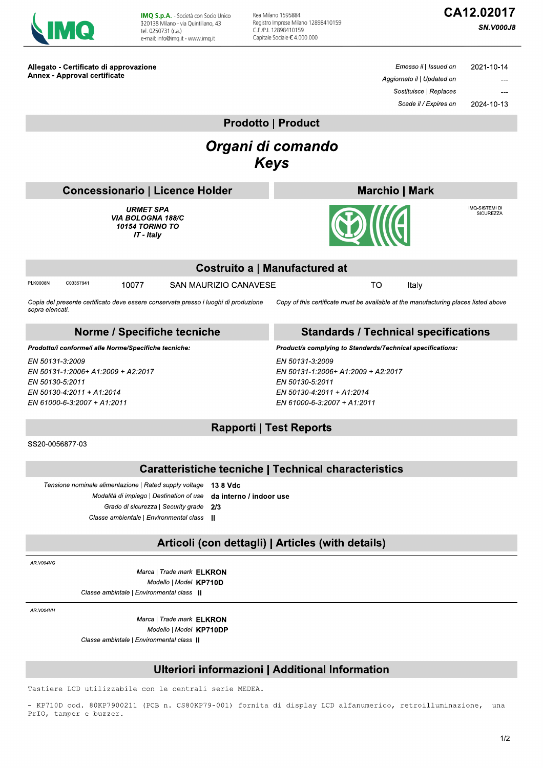Allegato - Certificato di approvazione

IMQ S.p.A. - Società con Socio Unico<br>I20138 Milano - via Quintiliano, 43 tel. 0250731 (r.a.) e-mail: info@imq.it - www.imq.it

Rea Milano 1595884 Registro Imprese Milano 12898410159<br>C.F./P.I. 12898410159<br>Capitale Sociale € 4.000.000

## CA12.02017

Emesso il | Issued on

**SN.V000J8** 

2021-10-14

2024-10-13

....  $\overline{a}$ 

| <b>Annex - Approval certificate</b>                                                                                                                                                                                                     | Aggiornato il   Updated on                                                                                                           |  |  |  |  |  |  |
|-----------------------------------------------------------------------------------------------------------------------------------------------------------------------------------------------------------------------------------------|--------------------------------------------------------------------------------------------------------------------------------------|--|--|--|--|--|--|
|                                                                                                                                                                                                                                         | Sostituisce   Replaces                                                                                                               |  |  |  |  |  |  |
|                                                                                                                                                                                                                                         | Scade il / Expires on<br>2024-10-13                                                                                                  |  |  |  |  |  |  |
| <b>Prodotto   Product</b>                                                                                                                                                                                                               |                                                                                                                                      |  |  |  |  |  |  |
|                                                                                                                                                                                                                                         |                                                                                                                                      |  |  |  |  |  |  |
| Organi di comando<br><b>Keys</b>                                                                                                                                                                                                        |                                                                                                                                      |  |  |  |  |  |  |
|                                                                                                                                                                                                                                         |                                                                                                                                      |  |  |  |  |  |  |
| <b>Concessionario   Licence Holder</b>                                                                                                                                                                                                  | <b>Marchio   Mark</b>                                                                                                                |  |  |  |  |  |  |
| <b>URMET SPA</b><br><b>VIA BOLOGNA 188/C</b><br><b>10154 TORINO TO</b><br>IT - Italy                                                                                                                                                    | IMQ-SISTEMI DI<br><b>SICUREZZA</b><br><b>DIIIGI</b>                                                                                  |  |  |  |  |  |  |
|                                                                                                                                                                                                                                         | <b>Costruito a   Manufactured at</b>                                                                                                 |  |  |  |  |  |  |
| PI.K0008N<br>C03357941<br><b>SAN MAURIZIO CANAVESE</b><br>10077                                                                                                                                                                         | <b>TO</b><br>Italy                                                                                                                   |  |  |  |  |  |  |
| Copia del presente certificato deve essere conservata presso i luoghi di produzione<br>sopra elencati.                                                                                                                                  | Copy of this certificate must be available at the manufacturing places listed above                                                  |  |  |  |  |  |  |
| Norme / Specifiche tecniche                                                                                                                                                                                                             | <b>Standards / Technical specifications</b>                                                                                          |  |  |  |  |  |  |
| Prodotto/i conforme/i alle Norme/Specifiche tecniche:                                                                                                                                                                                   | Product/s complying to Standards/Technical specifications:                                                                           |  |  |  |  |  |  |
| EN 50131-3:2009<br>EN 50131-1:2006+ A1:2009 + A2:2017<br>EN 50130-5:2011<br>EN 50130-4:2011 + A1:2014<br>EN 61000-6-3.2007 + A1:2011                                                                                                    | EN 50131-3:2009<br>EN 50131-1:2006+ A1:2009 + A2:2017<br>EN 50130-5:2011<br>EN 50130-4:2011 + A1:2014<br>EN 61000-6-3:2007 + A1:2011 |  |  |  |  |  |  |
| <b>Rapporti   Test Reports</b>                                                                                                                                                                                                          |                                                                                                                                      |  |  |  |  |  |  |
| SS20-0056877-03                                                                                                                                                                                                                         |                                                                                                                                      |  |  |  |  |  |  |
| <b>Caratteristiche tecniche   Technical characteristics</b>                                                                                                                                                                             |                                                                                                                                      |  |  |  |  |  |  |
| Tensione nominale alimentazione   Rated supply voltage<br>13.8 Vdc<br>Modalità di impiego   Destination of use<br>da interno / indoor use<br>Grado di sicurezza   Security grade<br>2/3<br>Classe ambientale   Environmental class<br>Ш |                                                                                                                                      |  |  |  |  |  |  |
| Articoli (con dettagli)   Articles (with details)                                                                                                                                                                                       |                                                                                                                                      |  |  |  |  |  |  |
| AR.V004VG                                                                                                                                                                                                                               |                                                                                                                                      |  |  |  |  |  |  |
| Marca   Trade mark <b>ELKRON</b><br>Modello   Model KP710D<br>Classe ambintale   Environmental class                                                                                                                                    |                                                                                                                                      |  |  |  |  |  |  |
| AR.V004VH<br>Marca   Trade mark <b>ELKRON</b><br>Modello   Model KP710DP<br>Classe ambintale   Environmental class                                                                                                                      |                                                                                                                                      |  |  |  |  |  |  |
| Ulteriori informazioni   Additional Information                                                                                                                                                                                         |                                                                                                                                      |  |  |  |  |  |  |
| con lo controli corio MEDEZ<br>zzabilo                                                                                                                                                                                                  |                                                                                                                                      |  |  |  |  |  |  |

Tastiere LCD utilizzabile con le centrali serie MEDEA.

- KP710D cod. 80KP7900211 (PCB n. CS80KP79-001) fornita di display LCD alfanumerico, retroilluminazione, una PrIO, tamper e buzzer.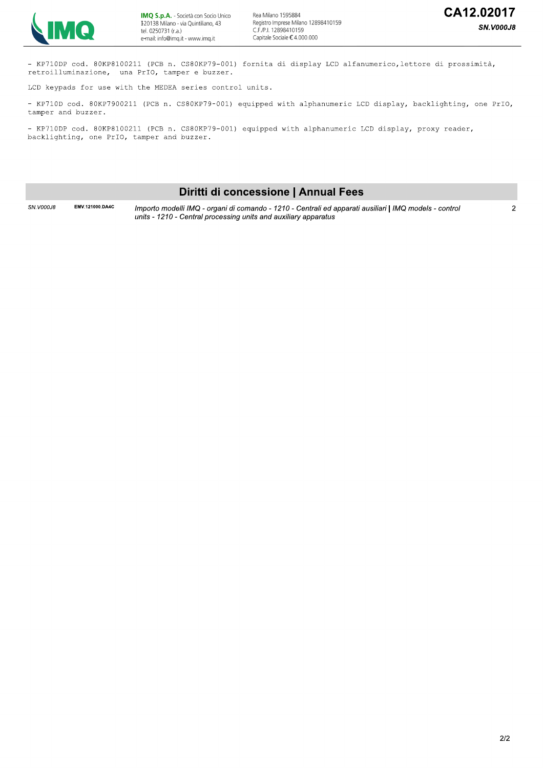

- KP710DP cod. 80KP8100211 (PCB n. CS80KP79-001) fornita di display LCD alfanumerico, lettore di prossimità, retroilluminazione, una PrIO, tamper e buzzer.

LCD keypads for use with the MEDEA series control units.

- KP710D cod. 80KP7900211 (PCB n. CS80KP79-001) equipped with alphanumeric LCD display, backlighting, one PrIO, tamper and buzzer.

- KP710DP cod. 80KP8100211 (PCB n. CS80KP79-001) equipped with alphanumeric LCD display, proxy reader, backlighting, one PrIO, tamper and buzzer.

#### Diritti di concessione | Annual Fees

SN.V000J8

EMV.121000.DA4C Importo modelli IMQ - organi di comando - 1210 - Centrali ed apparati ausiliari | IMQ models - control units - 1210 - Central processing units and auxiliary apparatus

 $\overline{2}$